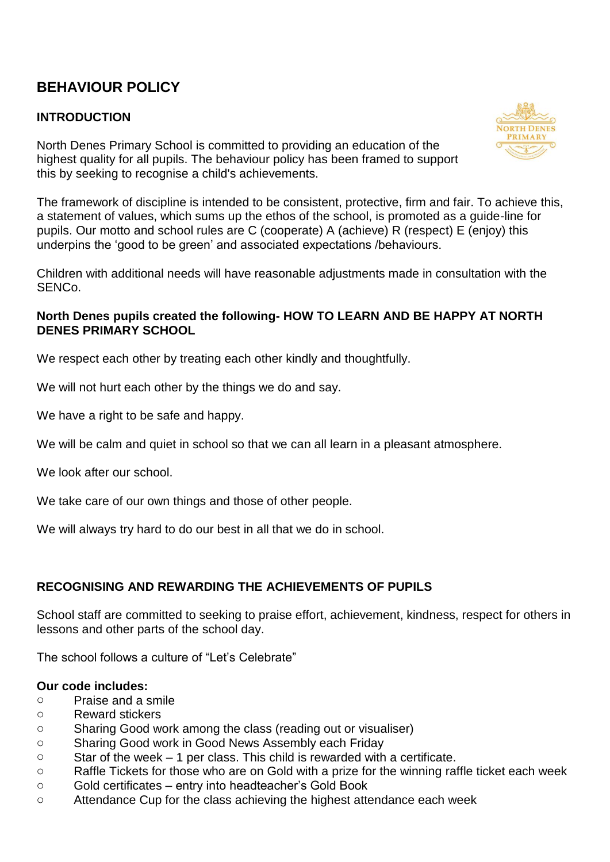# **BEHAVIOUR POLICY**

## **INTRODUCTION**

North Denes Primary School is committed to providing an education of the highest quality for all pupils. The behaviour policy has been framed to support this by seeking to recognise a child's achievements.

The framework of discipline is intended to be consistent, protective, firm and fair. To achieve this, a statement of values, which sums up the ethos of the school, is promoted as a guide-line for pupils. Our motto and school rules are C (cooperate) A (achieve) R (respect) E (enjoy) this underpins the 'good to be green' and associated expectations /behaviours.

Children with additional needs will have reasonable adjustments made in consultation with the SENCo.

### **North Denes pupils created the following- HOW TO LEARN AND BE HAPPY AT NORTH DENES PRIMARY SCHOOL**

We respect each other by treating each other kindly and thoughtfully.

We will not hurt each other by the things we do and say.

We have a right to be safe and happy.

We will be calm and quiet in school so that we can all learn in a pleasant atmosphere.

We look after our school.

We take care of our own things and those of other people.

We will always try hard to do our best in all that we do in school.

## **RECOGNISING AND REWARDING THE ACHIEVEMENTS OF PUPILS**

School staff are committed to seeking to praise effort, achievement, kindness, respect for others in lessons and other parts of the school day.

The school follows a culture of "Let's Celebrate"

#### **Our code includes:**

- o Praise and a smile
- o Reward stickers
- o Sharing Good work among the class (reading out or visualiser)
- o Sharing Good work in Good News Assembly each Friday
- o Star of the week 1 per class. This child is rewarded with a certificate.
- o Raffle Tickets for those who are on Gold with a prize for the winning raffle ticket each week
- o Gold certificates entry into headteacher's Gold Book
- o Attendance Cup for the class achieving the highest attendance each week

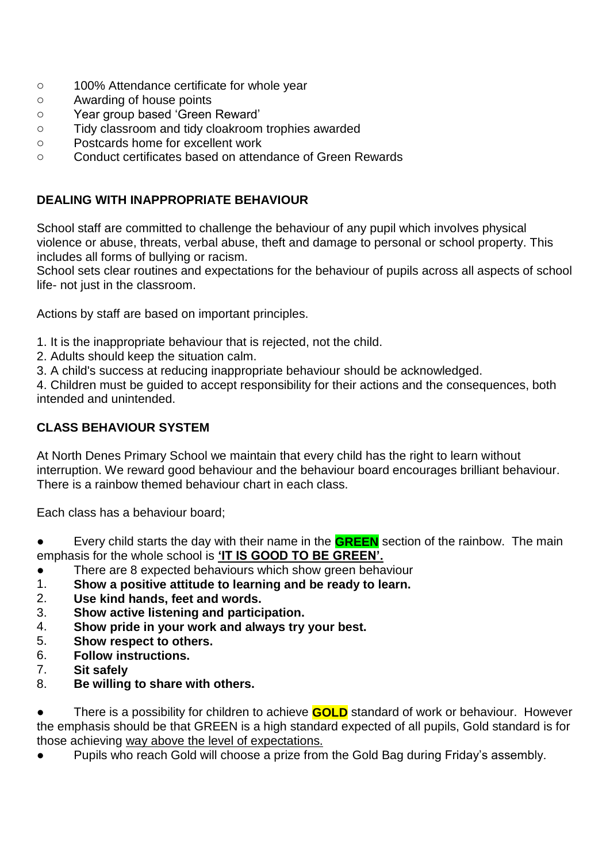- o 100% Attendance certificate for whole year
- o Awarding of house points
- o Year group based 'Green Reward'
- o Tidy classroom and tidy cloakroom trophies awarded
- o Postcards home for excellent work
- o Conduct certificates based on attendance of Green Rewards

### **DEALING WITH INAPPROPRIATE BEHAVIOUR**

School staff are committed to challenge the behaviour of any pupil which involves physical violence or abuse, threats, verbal abuse, theft and damage to personal or school property. This includes all forms of bullying or racism.

School sets clear routines and expectations for the behaviour of pupils across all aspects of school life- not just in the classroom.

Actions by staff are based on important principles.

1. It is the inappropriate behaviour that is rejected, not the child.

2. Adults should keep the situation calm.

3. A child's success at reducing inappropriate behaviour should be acknowledged.

4. Children must be guided to accept responsibility for their actions and the consequences, both intended and unintended.

### **CLASS BEHAVIOUR SYSTEM**

At North Denes Primary School we maintain that every child has the right to learn without interruption. We reward good behaviour and the behaviour board encourages brilliant behaviour. There is a rainbow themed behaviour chart in each class.

Each class has a behaviour board;

- Every child starts the day with their name in the **GREEN** section of the rainbow. The main emphasis for the whole school is **'IT IS GOOD TO BE GREEN'.**
- There are 8 expected behaviours which show green behaviour
- 1. **Show a positive attitude to learning and be ready to learn.**
- 2. **Use kind hands, feet and words.**
- 3. **Show active listening and participation.**
- 4. **Show pride in your work and always try your best.**
- 5. **Show respect to others.**
- 6. **Follow instructions.**
- 7. **Sit safely**
- 8. **Be willing to share with others.**

There is a possibility for children to achieve **GOLD** standard of work or behaviour. However the emphasis should be that GREEN is a high standard expected of all pupils, Gold standard is for those achieving way above the level of expectations.

Pupils who reach Gold will choose a prize from the Gold Bag during Friday's assembly.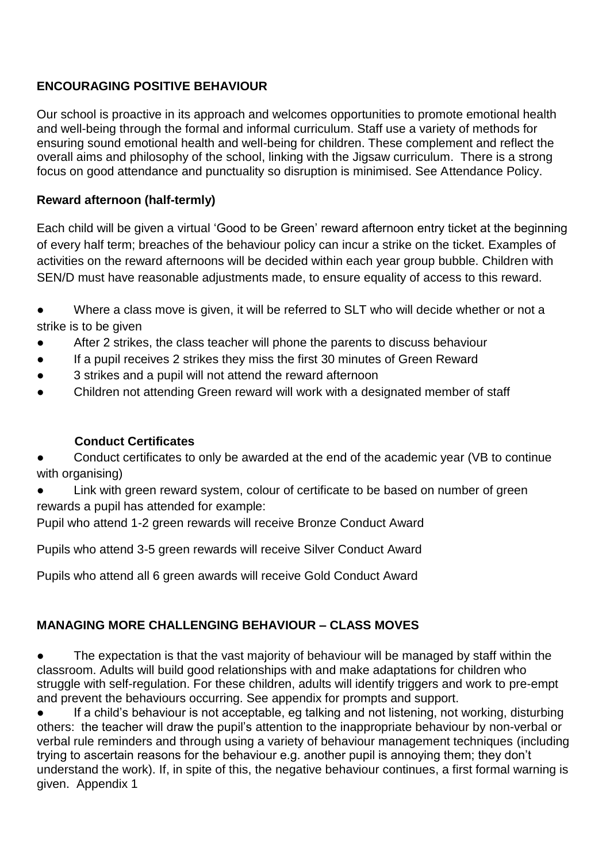## **ENCOURAGING POSITIVE BEHAVIOUR**

Our school is proactive in its approach and welcomes opportunities to promote emotional health and well-being through the formal and informal curriculum. Staff use a variety of methods for ensuring sound emotional health and well-being for children. These complement and reflect the overall aims and philosophy of the school, linking with the Jigsaw curriculum. There is a strong focus on good attendance and punctuality so disruption is minimised. See Attendance Policy.

## **Reward afternoon (half-termly)**

Each child will be given a virtual 'Good to be Green' reward afternoon entry ticket at the beginning of every half term; breaches of the behaviour policy can incur a strike on the ticket. Examples of activities on the reward afternoons will be decided within each year group bubble. Children with SEN/D must have reasonable adjustments made, to ensure equality of access to this reward.

- Where a class move is given, it will be referred to SLT who will decide whether or not a strike is to be given
- After 2 strikes, the class teacher will phone the parents to discuss behaviour
- If a pupil receives 2 strikes they miss the first 30 minutes of Green Reward
- 3 strikes and a pupil will not attend the reward afternoon
- Children not attending Green reward will work with a designated member of staff

## **Conduct Certificates**

Conduct certificates to only be awarded at the end of the academic year (VB to continue with organising)

Link with green reward system, colour of certificate to be based on number of green rewards a pupil has attended for example:

Pupil who attend 1-2 green rewards will receive Bronze Conduct Award

Pupils who attend 3-5 green rewards will receive Silver Conduct Award

Pupils who attend all 6 green awards will receive Gold Conduct Award

## **MANAGING MORE CHALLENGING BEHAVIOUR – CLASS MOVES**

The expectation is that the vast majority of behaviour will be managed by staff within the classroom. Adults will build good relationships with and make adaptations for children who struggle with self-regulation. For these children, adults will identify triggers and work to pre-empt and prevent the behaviours occurring. See appendix for prompts and support.

If a child's behaviour is not acceptable, eg talking and not listening, not working, disturbing others: the teacher will draw the pupil's attention to the inappropriate behaviour by non-verbal or verbal rule reminders and through using a variety of behaviour management techniques (including trying to ascertain reasons for the behaviour e.g. another pupil is annoying them; they don't understand the work). If, in spite of this, the negative behaviour continues, a first formal warning is given. Appendix 1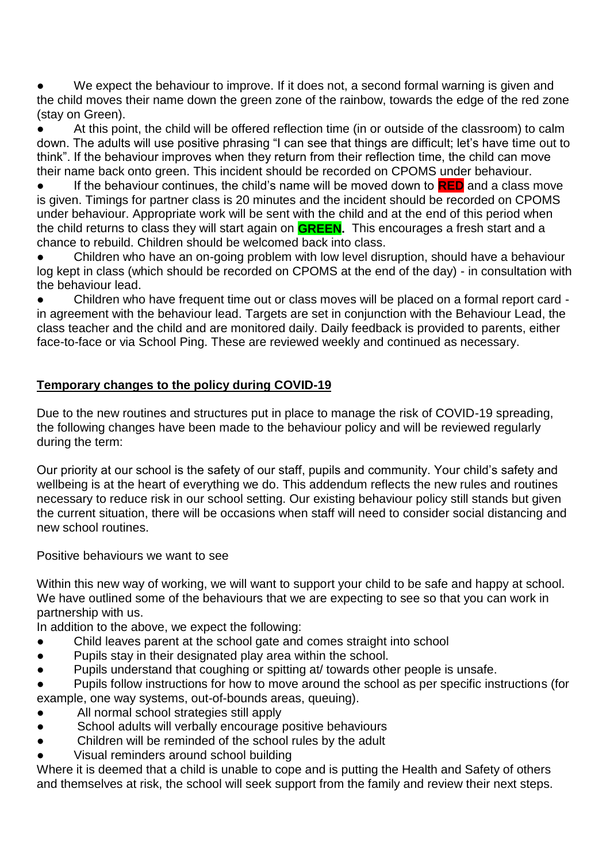We expect the behaviour to improve. If it does not, a second formal warning is given and the child moves their name down the green zone of the rainbow, towards the edge of the red zone (stay on Green).

At this point, the child will be offered reflection time (in or outside of the classroom) to calm down. The adults will use positive phrasing "I can see that things are difficult; let's have time out to think". If the behaviour improves when they return from their reflection time, the child can move their name back onto green. This incident should be recorded on CPOMS under behaviour.

If the behaviour continues, the child's name will be moved down to **RED** and a class move is given. Timings for partner class is 20 minutes and the incident should be recorded on CPOMS under behaviour. Appropriate work will be sent with the child and at the end of this period when the child returns to class they will start again on **GREEN.** This encourages a fresh start and a chance to rebuild. Children should be welcomed back into class.

Children who have an on-going problem with low level disruption, should have a behaviour log kept in class (which should be recorded on CPOMS at the end of the day) - in consultation with the behaviour lead.

Children who have frequent time out or class moves will be placed on a formal report card in agreement with the behaviour lead. Targets are set in conjunction with the Behaviour Lead, the class teacher and the child and are monitored daily. Daily feedback is provided to parents, either face-to-face or via School Ping. These are reviewed weekly and continued as necessary.

## **Temporary changes to the policy during COVID-19**

Due to the new routines and structures put in place to manage the risk of COVID-19 spreading, the following changes have been made to the behaviour policy and will be reviewed regularly during the term:

Our priority at our school is the safety of our staff, pupils and community. Your child's safety and wellbeing is at the heart of everything we do. This addendum reflects the new rules and routines necessary to reduce risk in our school setting. Our existing behaviour policy still stands but given the current situation, there will be occasions when staff will need to consider social distancing and new school routines.

Positive behaviours we want to see

Within this new way of working, we will want to support your child to be safe and happy at school. We have outlined some of the behaviours that we are expecting to see so that you can work in partnership with us.

In addition to the above, we expect the following:

- Child leaves parent at the school gate and comes straight into school
- Pupils stay in their designated play area within the school.
- Pupils understand that coughing or spitting at/ towards other people is unsafe.

Pupils follow instructions for how to move around the school as per specific instructions (for example, one way systems, out-of-bounds areas, queuing).

- All normal school strategies still apply
- School adults will verbally encourage positive behaviours
- Children will be reminded of the school rules by the adult
- Visual reminders around school building

Where it is deemed that a child is unable to cope and is putting the Health and Safety of others and themselves at risk, the school will seek support from the family and review their next steps.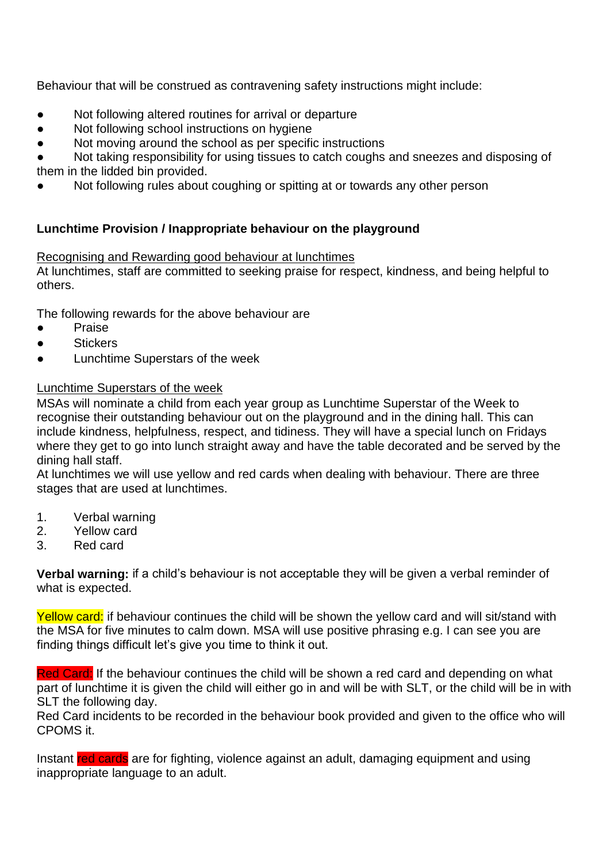Behaviour that will be construed as contravening safety instructions might include:

- Not following altered routines for arrival or departure
- Not following school instructions on hygiene
- Not moving around the school as per specific instructions
- Not taking responsibility for using tissues to catch coughs and sneezes and disposing of them in the lidded bin provided.
- Not following rules about coughing or spitting at or towards any other person

## **Lunchtime Provision / Inappropriate behaviour on the playground**

#### Recognising and Rewarding good behaviour at lunchtimes

At lunchtimes, staff are committed to seeking praise for respect, kindness, and being helpful to others.

The following rewards for the above behaviour are

- **Praise**
- **Stickers**
- Lunchtime Superstars of the week

#### Lunchtime Superstars of the week

MSAs will nominate a child from each year group as Lunchtime Superstar of the Week to recognise their outstanding behaviour out on the playground and in the dining hall. This can include kindness, helpfulness, respect, and tidiness. They will have a special lunch on Fridays where they get to go into lunch straight away and have the table decorated and be served by the dining hall staff.

At lunchtimes we will use yellow and red cards when dealing with behaviour. There are three stages that are used at lunchtimes.

- 1. Verbal warning
- 2. Yellow card
- 3. Red card

**Verbal warning:** if a child's behaviour is not acceptable they will be given a verbal reminder of what is expected.

Yellow card: if behaviour continues the child will be shown the yellow card and will sit/stand with the MSA for five minutes to calm down. MSA will use positive phrasing e.g. I can see you are finding things difficult let's give you time to think it out.

Red Card: If the behaviour continues the child will be shown a red card and depending on what part of lunchtime it is given the child will either go in and will be with SLT, or the child will be in with SLT the following day.

Red Card incidents to be recorded in the behaviour book provided and given to the office who will CPOMS it.

Instant red cards are for fighting, violence against an adult, damaging equipment and using inappropriate language to an adult.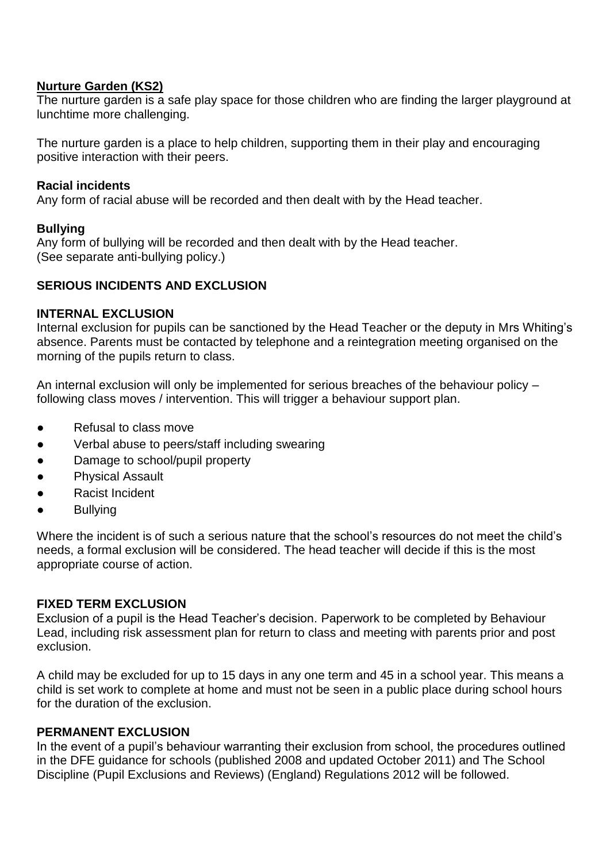#### **Nurture Garden (KS2)**

The nurture garden is a safe play space for those children who are finding the larger playground at lunchtime more challenging.

The nurture garden is a place to help children, supporting them in their play and encouraging positive interaction with their peers.

#### **Racial incidents**

Any form of racial abuse will be recorded and then dealt with by the Head teacher.

### **Bullying**

Any form of bullying will be recorded and then dealt with by the Head teacher. (See separate anti-bullying policy.)

## **SERIOUS INCIDENTS AND EXCLUSION**

#### **INTERNAL EXCLUSION**

Internal exclusion for pupils can be sanctioned by the Head Teacher or the deputy in Mrs Whiting's absence. Parents must be contacted by telephone and a reintegration meeting organised on the morning of the pupils return to class.

An internal exclusion will only be implemented for serious breaches of the behaviour policy – following class moves / intervention. This will trigger a behaviour support plan.

- **Refusal to class move**
- Verbal abuse to peers/staff including swearing
- Damage to school/pupil property
- Physical Assault
- Racist Incident
- Bullying

Where the incident is of such a serious nature that the school's resources do not meet the child's needs, a formal exclusion will be considered. The head teacher will decide if this is the most appropriate course of action.

#### **FIXED TERM EXCLUSION**

Exclusion of a pupil is the Head Teacher's decision. Paperwork to be completed by Behaviour Lead, including risk assessment plan for return to class and meeting with parents prior and post exclusion.

A child may be excluded for up to 15 days in any one term and 45 in a school year. This means a child is set work to complete at home and must not be seen in a public place during school hours for the duration of the exclusion.

#### **PERMANENT EXCLUSION**

In the event of a pupil's behaviour warranting their exclusion from school, the procedures outlined in the DFE guidance for schools (published 2008 and updated October 2011) and The School Discipline (Pupil Exclusions and Reviews) (England) Regulations 2012 will be followed.